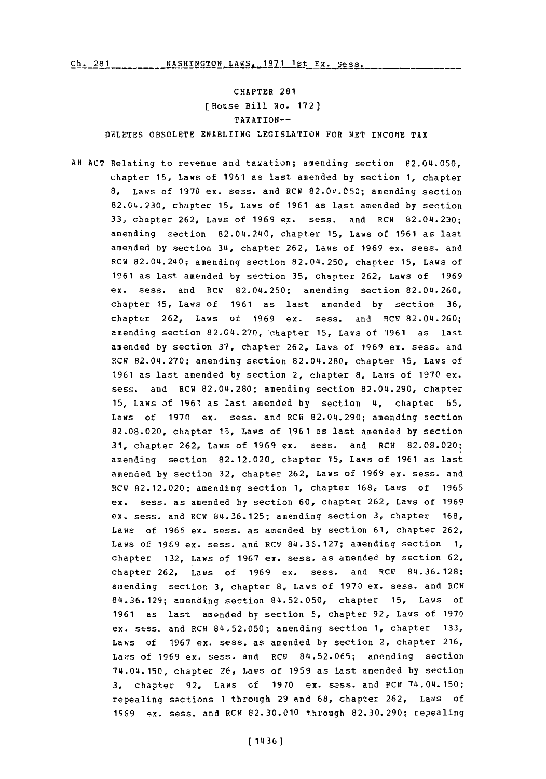CHAPTER **281** (House Bill io. **172]** TAXATION-- **DELETES** OBSOLETE ENABLIING LEGISLATION FOR **NET** INC0IIE TAX

**AN ACT** Relating to revenue and taxation; amending section 82.04.050, chapter **15,** Laws of **1961** as last amended **by** section **1,** chapter **8,** Laws of **1970** ex. sess. and RCW 82.0at.050; amending section 82.04.230, chapter **15,** Laws of **1961** as last amended **by** section **33,** chapter **262,** Laws of **1969** ex. sess. and RCW 82.04.230; amending section 82.04.240, chapter **15,** Laws of **1961** as last amended **by** section **34,** chapter **262,** Laws of **1969** ex. sess. and RCN 82.04.240; amending section 82.04.250, chapter **15,** Laws **Of 1961** as last amended **by** section **35,** chapter **262,** Laws of **1969** ex. sess. and RCW 82.04.250; amending section 82.04.260, chapter **15,** Laws of **1961** as last amended **by** section **36,** chapter 262, Laws of 1969 ex. sess. and RCW 82.04.260; amending section 82.04.270,'chapter **15,** Laws of **'1961** as last amended by section 37, chapter 262, Laws of 1969 ex. sess. and RCW **82.04.270;** amending section **82.04.280,** chapter **15,** Laws of **1961** as last amended **by** section 2, chapter **8,** Laws of **1970** ex. sess. and RCW 82.04.280; amending section 82.04.290, chapter **'15,** Laws of **1961** as last amended **by** section 4, chapter **65,** Laws of 1970 ex. sess. and RCW 82.04.290; amending section **82.08.020,** chapter **15,** Laws of **1961** as last amended **by** section **31,** chapter **262,** Laws of **1969** ex. mess. and RCW **82.08.020;** amending section **82.12.020,** chapter **'15,** Laws of **1961** as last amended by section 32, chapter 262, Laws of 1969 ex. sess. and RCW 82.12.020; amending section **1,** chapter **168,** Laws of **1965** ex. mess. as amended **by** section **60,** chapter **262,** Laws of **1969** ex. mess, and RCW **84.36.125;** amending section **3,** chapter **168,** Laws of **1965** ex. mess, as amended **by** section **61,** chapter **262,** Laws of **1969** ex. mess. and RCW **84.36.127;** amending section **1,** chapter **132,** Laws of **1967** ex. mess, as amended **by** section **62,** chapter **262,** Laws of **1969** ex. mess. and RCW **84.36.128;** amending section 3, chapter 8, Laws of 1970 ex. sess. and RCW **84.36.129;** amending section 84.52.050, chapter **15,** Laws of **1961** as last amended **by** section **5,** chapter **92,** Laws of **1970** ex. mess, and RCW 84.52.050; amending section **1,** chapter **133,** Law~s of **1967 ex.** mess. as amended **by** section 2, chapter **216,** Laws of 1969 ex. sess. and RCW 84.52.065; anending section 74.04.150, chapter **26,** Laws of **1959** as last amended **by** section **3,** chapter 92, *Laws* of **19\*70** ex. mess. and **PCW** 74.04. 150: repealing sections **1** through **29** and **68,** chapter **262,** Laws of **1969** ex. mess, and RCW **82.30.010** through **82.30.290;** repealing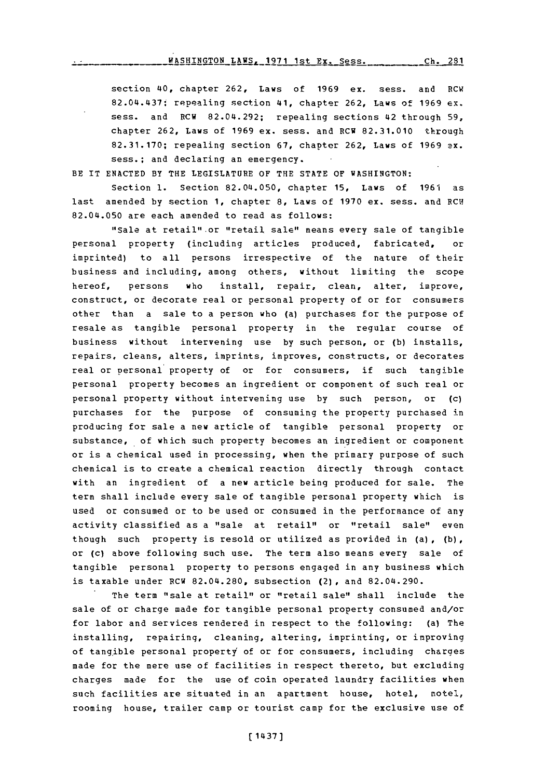section 40, chapter **262,** Laws of **1969** ex. sess. and RCW 82.04.437: repealing section 41, chapter **262,** Laws of **1969** ex. sess. and RCW 82.04.292; repealing sections 42 through **59,** chapter **262,** Laws of **1969** ex. sess. and RCW **82.31.010** through **82.31.170;** repealing section **67,** chapter **262,** Laws of **1969** ex. sess.; and declaring an emergency.

BE IT **ENACTED** BY THE LEGISLATURE OF THE **STATE OF** WASHINGTON:

Section **1.** Section 82.04.050, chapter **15,** Laws of **1961** as last amended by section 1, chapter 8, Laws of 1970 ex. sess. and RCW 82.04.050 are each amended to read as follows:

"Sale at retail" or "retail sale" means every sale of tangible personal property (including articles produced, fabricated, or imprinted) to all persons irrespective of the nature of their business and including, among others, without limiting the scope hereof, persons who install, repair, clean, alter, improve, construct, or decorate real or personal property of or for consumers other than a sale to a person who (a) purchases for the purpose of resale as tangible personal property in the regular course of business without intervening use **by** such person, or **(b)** installs, repairs, cleans, alters, imprints, improves, constructs, or decorates real or personal property of or for consumers, if such tangible personal property becomes an ingredient or component of such real or personal property without intervening use **by** such person, or (c) purchases for the purpose of consuming the property purchased in producing for sale a new article of tangible personal property or substance, of which such property becomes an ingredient or component or is a chemical used in processing, when the primary purpose of such chemical is to create a chemical reaction directly through contact with an ingredient of a new article being produced for sale. The term shall include every sale **of** tangible personal property which is used or consumed or to be used or consumed in the performance of any activity classified as a "sale at retail" or "retail sale" even though such property is resold or utilized as provided in (a) , **(b),** or (c) above following such use. The term also means every sale of tangible personal property to persons engaged in any business which is taxable under RCW 82.04.280, subsection (2), and 82.04.290.

The term "sale at retail" or "retail sale" shall include the sale of or charge made for tangible personal property consumed and/or for labor and services rendered in respect to the following: (a) The installing, repairing, cleaning, altering, imprinting, or improving of tangible personal property of or for consumers, including charges made for the mere use of facilities in respect thereto, but excluding charges made for the use of coin operated laundry facilities when such facilities are situated in an apartment house, hotel, motel, rooming house, trailer camp or tourist camp for the exclusive use of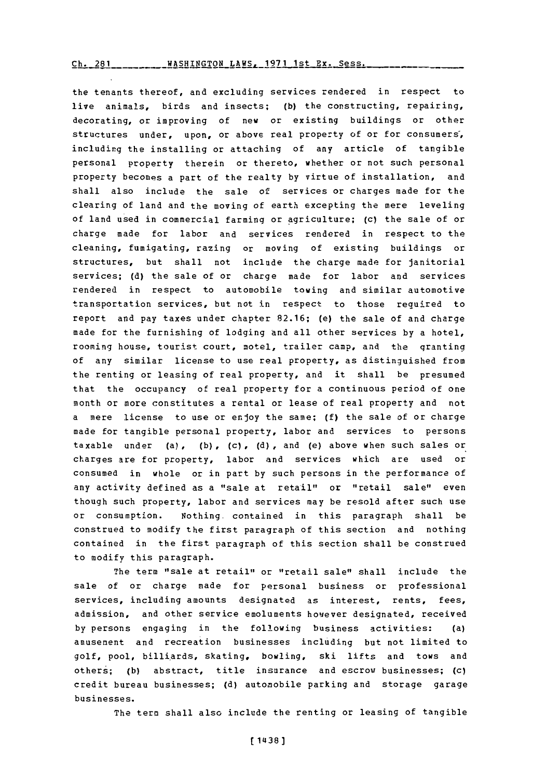## $\frac{Ch.281}{D}$  **WASHINGTON LAWS, 1971 1st Ex. Sess.**

the tenants thereof, and excluding services rendered in respect to live animals, birds and insects; **(b)** the constructing, repairing, decorating, or improving of new or existing buildings or other structures under, upon, or above real property of or for consumers, including the installing or attaching of any article of tangible personal property therein or thereto, whether or not such personal property becomes a part of the realty **by** virtue of installation, and shall also include the sale of services or charges made for the clearing of land and the moving of earth excepting the mere leveling of land used in commercial farming or agriculture; (c) the sale of or charge made for labor and services rendered in respect to the cleaning, fumigating, razing or moving of existing buildings or structures, but shall not include the charge made for janitorial services; **(d)** the sale of or charge made for labor and services rendered in respect to automobile towing and similar automotive transportation services, but not in respect to those required to report and pay taxes under chapter **82.16;** (e) the sale of and charge made for the furnishing of lodging and all other services **by** a hotel, rooming house, tourist court, motel, trailer camp, and the granting of any similar license to use real property, as distinguished from the renting or leasing of real property, and it shall be presumed that the occupancy of real property for a continuous period of one month or more constitutes a rental or lease of real property and not a mere license to use or enjoy the same; **(f)** the sale of or charge made for tangible personal property, labor and services to persons taxable under (a), (b), (c), (d), and (e) above when such sales or charges are for property, labor and services which are used or consumed in whole or in part **by** such persons in the performance of any activity defined as a "sale at retail" or "retail sale" even though such property, labor and services may be resold after such use or consumption. Nothing. contained in this paragraph shall be construed to modify the first paragraph of this section and nothing contained in the first paragraph of this section shall be construed to modify this paragraph.

The term "sale at retail" or "retail sale" shall include the sale of or charge made for personal business or professional services, including amounts designated as interest, rents, fees, admission, and other service emoluments however designated, received **by** persons engaging in the following business activities: (a) amnusement and recreation businesses including but not limited to golf, pool, billiards, skating, bowling, ski lifts and tows and others; (b) abstract, title insurance and escrow businesses; (c) credit bureau businesses; **(d)** automobile parking and storage garage businesses.

The term shall also include the renting or leasing of tangible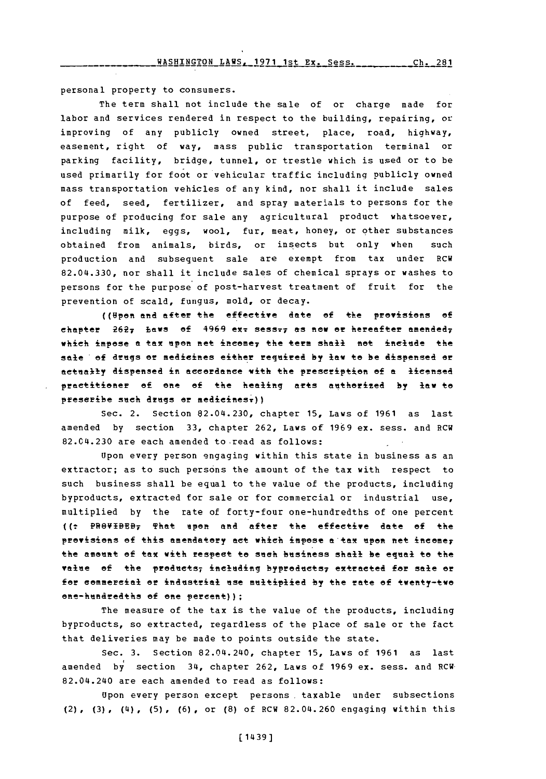personal property to consumers.

The term shall not include the sale of or charge made for labor and services rendered in respect to the building, repairing, or improving of any publicly owned street, place, road, highway, easement, right of way, mass public transportation terminal or parking facility, bridge, tunnel, or trestle which is used or to be used primarily for foot or vehicular traffic including publicly owned mass transportation vehicles of any kind, nor shall it include sales of feed, seed, fertilizer, and spray materials to persons for the purpose of producing for sale any agricultural product whatsoever, including milk, eggs, wool, fur, meat, honey, or other substances obtained from animals, birds, or insects but only when such production and subsequent sale are exempt from tax under RCW **82.04.330,** nor shall it include sales of chemical sprays or washes to persons for the purpose of post-harvest treatment of fruit for the prevention of scald, fungus, mold, or decay.

((Vpen **and** after the effective date of the provisions **of** chapter 2627 Laws of 4969 exx sess<sub>77</sub> as now or hereafter amended<sub>7</sub> which impose a tax upon net income<sub>7</sub> the term shall not include the sale of drugs or medicines either required by law to be dispensed or actually dispensed in accordance with the prescription of a licensed practitioner **of** onte **of** the healing arts aiitherited **by law** to prescribe such drugs er medicinesr))

Sec. 2. Section 82.04.230, chapter **15,** Laws of **1961** as last amended **by** section **33,** chapter **262,** Laws of **1969** ex. sess. and RCW 82.04.230 are each amended to read as follows:

Upon every person engaging within this state in business as an extractor; as to such persons the amount of the tax with respect to such business shall be equal to the value of the products, including byproducts, extracted for sale or for commercial or industrial use, multiplied by the rate of forty-four one-hundredths of one percent **((t** PRVBB That **upen and** after the effective date of the provisions of this amendatory act which impose a tax upon net incomer the amount of tax with respect to such business shall be equal to the value of the products; including byproducts; extracted for sale or for commercial or industrial use multiplied by the rate of twenty-two one-hundredths of one percent));

The measure of the tax is the value of the products, including byproducts, so extracted, regardless of the place of sale or the fact that deliveries may be made to points outside the state.

Sec. **3.** Section 82.04.240, chapter **15,** Laws of **1961** as last amended **by** section 34, chapter **262,** Laws of **1969** ex. sess. and RCW. 82.04.240 are each amended to read as follows:

Upon every person except persons. taxable under subsections (2), **(3) ,** (4) **, (5), (6) ,** or **(8)** of RCW 82.04. 260 engaging within this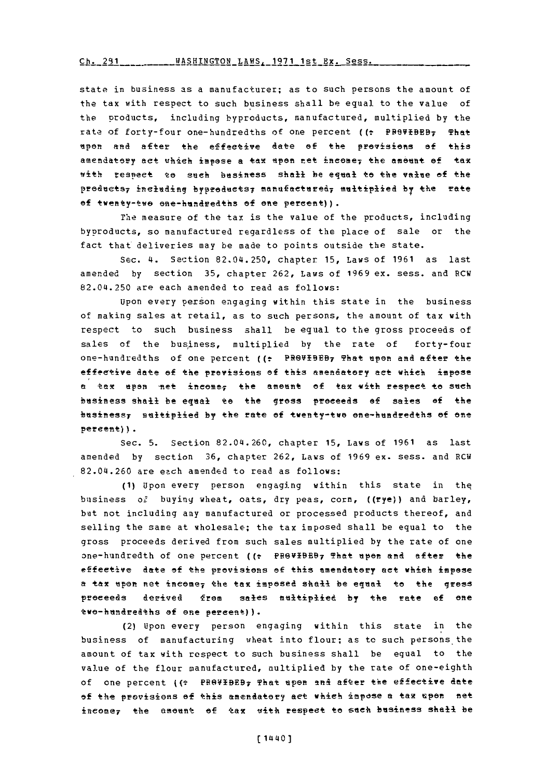Ch. 291 **RASHINGTON LAWS, 1971 1st Ex. Sess.** 

state in business as a manufacturer; as to such persons the amount of the tax with respect to such business shall be equal to the value of the products, including byproducts, manufactured, multiplied **by** the rate of forty-four one-hundredths of one percent ((: PROVIBEB7 That spen and after the effeetive date **of** the provisiens **of** this amendatery act which impose a tax upon net income, the amount of tax with respeet to such business shall be equal to the value **of** the products<sub>7</sub> including byproducts; manufactured; multiplied by the rate of twenty-tve ene-hundreaths **of** one percent)).

The measure of the tax is the value of the products, including byproducts, so manufactured regardless of the place of sale or the fact that deliveries may be made to points outside the state.

Sec. 4. Section 82.04.250, chapter **15,** Laws of **1961** as last amended **by** section **35,** chapter **262,** Laws of **1969** ex. sess. and RCW 82.04.250 are each amended to read as follows:

Upon every person engaging within this state in the business of making sales at retail, as to such persons, the amount of tax with respect to such business shall be equal to the gross proceeds of sales **of** the business, multiplied **by** the rate of forty-four one-hundredths of one percent ((: PROVIBEB<sub>7</sub> That upon and after the effeetive date af the provisiens of this amendatery net which impose **<sup>a</sup>tax** apsn set ineemei the amount ef tax vith respect te **seeh** business shall be equal **to** the gress proceeds **of** sales of the businessy sltiplied **by** the rate of twenty-twe ene-hundredths of one percent)).

Sec. **5.** Section 82.04.260, chapter **15,** Laws of **1961** as last amended **by** section **36,** chapter **262,** Laws of **1969** ex. sess. and RCW 82.04.260 are each amended to read as follows:

**(1)** Upon every person engaging within this state in the business of buying wheat, oats, dry peas, corn, ((rye)) and barley, but not including any manufactured or processed products thereof, and selling the same at wholesale; the tax imposed shall be equal to the gross proceeds derived from such sales multiplied **by** the rate of one one-hundredth of one percent ((+ PROVIBEB, That upon and after the effective date of the provisions **of** this amendatory net which impese a tax upon net income, the tax imposed shall be equal to the gress preeeds derived **from** sales multiplied **by** the rate **of** one twe-hundreaths **of** ene percent)).

(2) Upon every person engaging within this state in the business of manufacturing wheat into flour; as to such persons the amount of tax with respect to such business shall be equal to the value of the flour manufactured, multiplied **by** the rate of one-eighth of one percent ((\* PROVIBEB<sub>7</sub> That upon and after the effective date of the previsiens **of** this amendatory net which impose **a** taw upon net ineome7 the ement of tax vith respect to such business shell be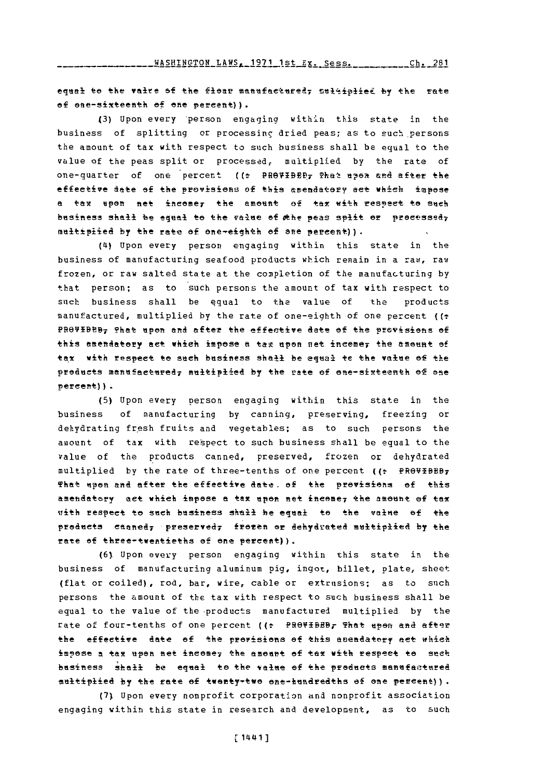equal to the valre of the flour manufactured, sultiplied by the rate of ene-sixteenth of one percent)).

(3) Upon every person engaging within this state in the business of splitting or processing dried peas; as to such persons the amount of tax with respect to such business shall be equal to the value of the peas split or processed, multiplied by the rate of one-quarter of one percent ((: PROVIBED, That upon and after the effective date of the provisions of this amendatory act which impose a tax upon net income, the amount of tax with respect to such business shall be equal to the value of the peas split or processed; multiplied by the rate of one-eighth of ane percent)).

(4) Upon every person engaging within this state in the business of manufacturing seafood products which remain in a raw, raw frozen, or raw salted state at the completion of the manufacturing by that person; as to such persons the amount of tax with respect to such business shall be equal to the value of the products manufactured, multiplied by the rate of one-eighth of one percent ((= PROVIBED; That upon and after the effective date of the provisions of this amendatory act which impose a tax upon net incemer the amount of tax with respect to such business shall be equal te the value of the products manufactured, multiplied by the rate of one-sixteenth of one  $percent()$ .

(5) Upon every person engaging within this state in the business of manufacturing by canning, preserving, freezing or dehydrating fresh fruits and vegetables; as to such persons the amount of tax with respect to such business shall be equal to the value of the products canned, preserved, frozen or dehydrated multiplied by the rate of three-tenths of one percent ((: PROVIBEB7 That upon and after the effective date, of the provisions of this amendatory act which impose a tax upon net income, the amount of tax with respect to such business shall be equal to the value of the products canned, preserved, frozen or dehydrated multiplied by the rate of three-twentieths of one percent)).

(6) Upon every person engaging within this state in the business of manufacturing aluminum pig, ingot, billet, plate, sheet (flat or coiled), rod, bar, wire, cable or extrusions; as to such persons the amount of the tax with respect to such business shall be equal to the value of the products manufactured multiplied by the rate of four-tenths of one percent ((: PROVIBED, That upon and after the effective date of the provisions of this amendatory act which impose a tax upon net income; the amount of tax with respect to such business shall be equal to the value of the products manufactured multiplied by the rate of twenty-two one-hundredths of one percent)).

(7) Upon every nonprofit corporation and nonprofit association engaging within this state in research and development, as to such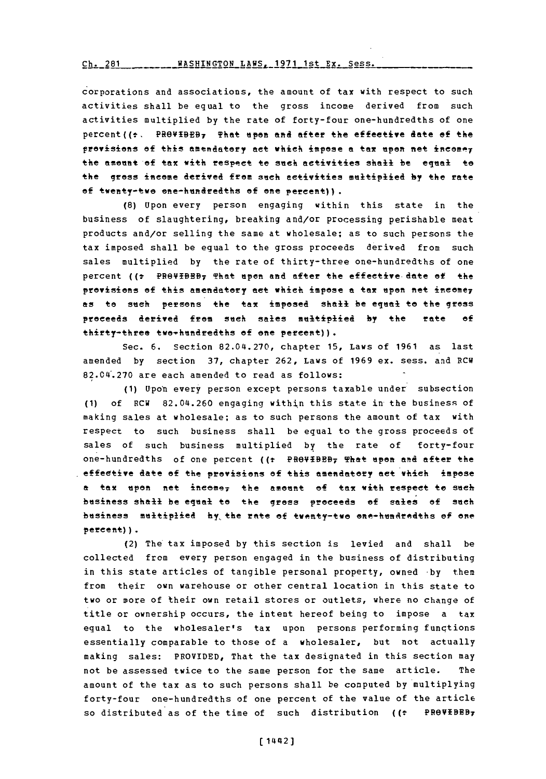## Ch. **2R1WASHINGTON** LAWS. **1971** 1st **Ex-** Sess.  $Ch. 281$

c orporations and associations, the amount of tax with respect to such activities shall be equal to the gross income derived from such activities multiplied **by** the rate of forty-four one-hundredths of one percent  $($   $\epsilon$ . PROVIBEB, That upon and after the effective date of the provisions of this amendatory act which impose a tax upon net incomer the amount of tax with respect te such activities shall be equal to the gross income derived from such activities multiplied by the rate of twenty-twe ene-hundredths of one percent)).

**(8)** Upon every person engaging within this state in the business of slaughtering, breaking and/or processing perishable meat products and/or selling the same at wholesale; as to such persons the tax imposed shall be equal to the gross proceeds derived from such sales multiplied **by** the rate of thirty-three one-hundredths of one percent ((? PROVIBBB<sub>7</sub> That upon and after the effective date of the provisions of this amendatory act which impose a tax upon net income<sub>7</sub> as to such persons the tax imposed shall be equal to the gross proceeds derived from such sales multiplied by the rate of thirty-three two-hundredths of one percent)).

Sec. **6.** Section **82.0L4.270,** chapter **15,** Laws of **1961** as last amended **by** section **37,** chapter **262,** Laws of **1969** ex. sess. a nd RCW 82.04. 270 are each amended to read as follows:

**(1)** Upon every person except persons taxable under subsection **(1)** of RCW 82.04.260 engaging within this state in the business of making sales at wholesale; as to such persons the amount of tax with respect to such business shall be equal to the gross proceeds of sales of such business multiplied **by** the rate of forty-four one-hundredths of one percent ((t PROVIBEB, That upon and after the effective date **of** the provisions **of** this amendatofy act which impose a tax upon net ineae7 the amennt of tax with respect to such business sha<del>ll</del> be equal to the gross proceeds of sales of such business multiplied **by** the rate of twenty-two one-hundredths of one percent)).

(2) The tax imposed **by** this section is levied and shall be collected from every person engaged in the business of distributing in this state articles of tangible personal property, owned **by** them from their own warehouse or other central location in this state to two or more of their own retail stores or outlets, where no change of title or ownership occurs, the intent hereof being to impose a tax equal to the wholesaler's tax upon persons performing funqtions essentially comparable to those of a wholesaler, but not actually making sales: PROVIDED, That the tax designated in this section may not be assessed twice to the same person for the same article. The amount of the tax as to such persons shall be computed **by** multiplying forty-four one-hundredths of one percent of the value of the article so distributed as of the time of such distribution **((t PROVEBBB7**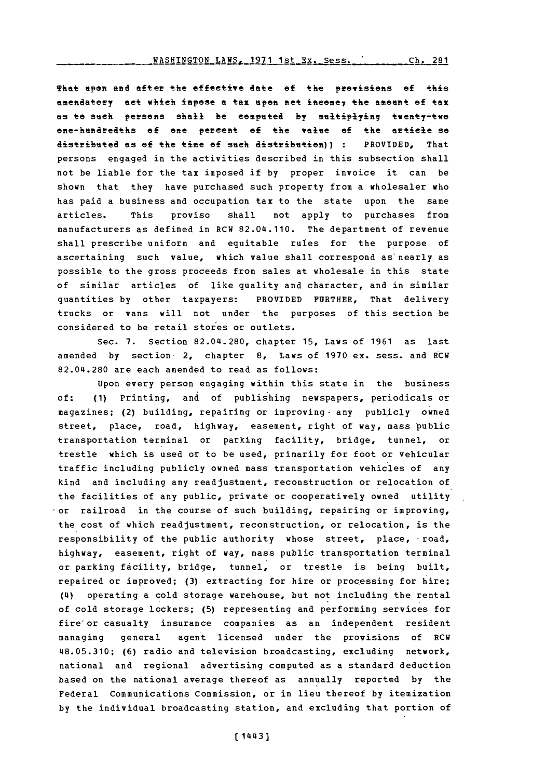## WASHINGTON LAWS, **1971** 1st Ex. Sess. **Ch.** 281

That upon and after the effective date of the provisions of this amendatory act which impose a tax upon net income<sub>7</sub> the amount of tax as to such persons shall be computed by multiplying twenty-two one-hendredths of one percent of the value of the article so dsributed as **of** the time **ef** such distribution)) **:** PROVIDED, That persons engaged in the activities described in this subsection shall not be liable for the tax imposed if **by** proper invoice it can be shown that they have purchased such property from a wholesaler who has paid a business and occupation tax to the state upon the same articles. This proviso shall not apply to purchases from manufacturers as defined in RCW 82.04.110. The department of revenue shall prescribe uniform and equitable rules for the purpose of ascertaining such value, which value shall correspond as' nearly as possible to the gross proceeds from sales at wholesale in this state of similar articles of like quality and character, and in similar quantities **by** other taxpayers: PROVIDED FURTHER, That delivery trucks or vans will not under the purposes of this section be considered to be retail stores or outlets.

Sec. **7.** Section **82.04.280,** chapter **15,** Laws of **1961** as last amended **by** section- 2, chapter **8,** Laws of **1970** ex. sess. and RCW 82.04.280 are each amended to read as follows:

Upon every person engaging within this state in the business **of: (1)** Printing, and of publishing newspapers, periodicals or magazines; (2) building, repairing or improving- any publicly owned street, place, road, highway, easement, right of way, mass 'public transportation terminal or parking facility, bridge, tunnel, or trestle which is used or to be used, primarily for foot or vehicular traffic including publicly owned mass transportation vehicles of any kind and including any readjustment, reconstruction or relocation of the facilities of any public, private or cooperatively owned utility or railroad in the course of such building, repairing or improving, the cost of which readjustment, reconstruction, or relocation, is the responsibility of the public authority whose street, place, road, highway, easement, right of way, mass public transportation terminal or parking facility, bridge, tunnel, or trestle is being built, repaired or improved; (3) extracting for hire or processing for hire; ('4) operating a cold storage warehouse, but not including the rental of cold storage lockers; **(5)** representing and performing services for fire or casualty insurance companies as an independent resident managing general agent licensed under the provisions of RCW 48.05.310; **(6)** radio and television broadcasting, excluding network, national and regional advertising computed as a standard deduction based on the national average thereof as annually reported **by** the Federal Communications Commission, or in lieu thereof **by** itemization **by** the individual broadcasting station, and excluding that portion of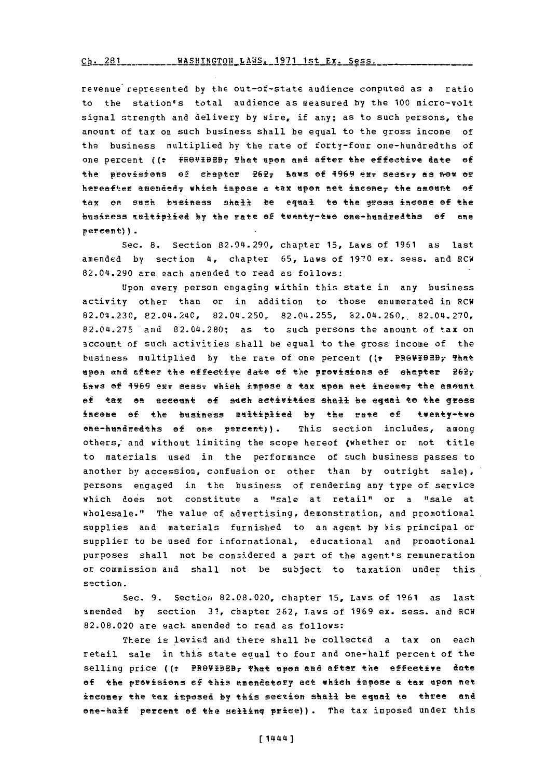Ch. 281 \_\_\_\_\_\_\_\_\_ WASHINGTON LAWS, 1971 1st Ex. Sess.

revenue represented by the out-of-state audience computed as a ratio to the station's total audience as measured by the 100 micro-volt signal strength and delivery by wire, if any; as to such persons, the amount of tax on such business shall be equal to the gross income of the business multiplied by the rate of forty-four one-hundredths of one percent ((: PROVIBEB, That upon and after the effective date of the provisions of chapter 262, haws of 4969 ex. sessi, as now or hereafter amended, which impose a tax upon net income, the amount of tax on such business shall be equal to the gross income of the business multiplied by the nate of twenty-two one-hundredths of one percent) ).

Sec. 8. Section 82.04.290, chapter 15, Laws of 1961 as last amended by section 4, chapter 65, Laws of 1970 ex. sess. and RCW 82.04.290 are each amended to read as follows:

Upon every person engaging within this state in any business activity other than or in addition to those enumerated in RCW 82.04.230, 82.04.240, 82.04.250, 82.04.255, 82.04.260, 82.04.270, 82.04.275 and 82.04.280; as to such persons the amount of tax on account of such activities shall be equal to the gross income of the business multiplied by the rate of one percent ((+ PROVIDED; That upon and after the effective date of the provisions of chapter 262; Laws of 1969 exr sessr which impose a tax upon net incomer the amount of tax on account of such activities shall be equal to the gross income of the business aultiplied by the rate of twenty-two one-hundredths of one percent)). This section includes, among others, and without limiting the scope hereof (whether or not title to materials used in the performance of such business passes to another by accession, confusion or other than by outright sale), persons engaged in the business of rendering any type of service which does not constitute a "sale at retail" or a "sale at wholesale." The value of advertising, demonstration, and promotional supplies and materials furnished to an agent by his principal or supplier to be used for informational, educational and promotional purposes shall not be considered a part of the agent's remuneration or commission and shall not be subject to taxation under this section.

Sec. 9. Section 82.08.020, chapter 15, Laws of 1961 as last amended by section 31, chapter 262, Laws of 1969 ex. sess. and RCW 82.08.020 are each amended to read as follows:

There is levied and there shall be collected a tax on each retail sale in this state equal to four and one-half percent of the selling price ((: PROVIDED, That upon and after the effective date of the provisions of this amendatory act which impose a tax upon net income, the tax imposed by this section shall be equal to three and one-half percent of the selling price)). The tax imposed under this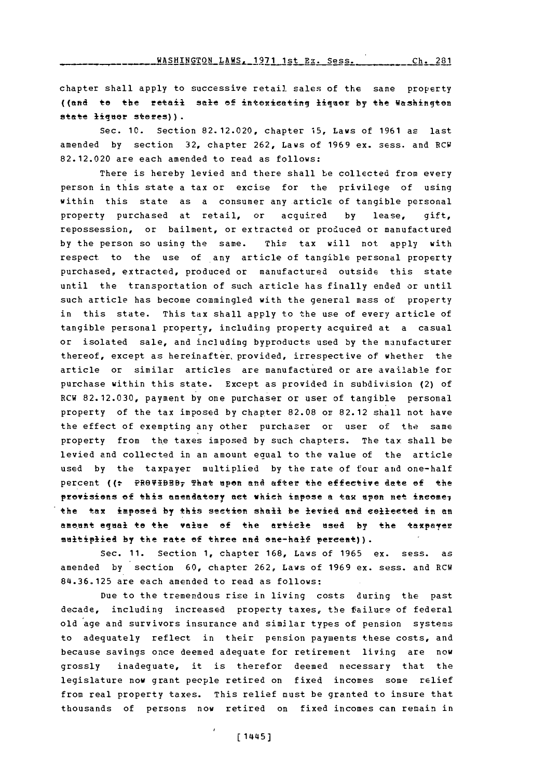chapter shall apply to successive retail sales of the same property ((and to the retail sale of intexicating ligaor by the Washingten state liquor stores)).

Sec. **10.** Section **82. 12.020,** chapter **15,** Laws of **1961** as last amended **by** section **32,** chapter **262,** Laws of **1969** ex. sess. and RCW **82.12.020** are each amended to read as follows:

There is hereby levied and there shall be collected from every person in this state a tax or excise for the privilege of using within this state as a consumer any article of tangible personal property purchased at retail, or acquired **by** lease, gift, repossession, or bailment, or extracted or produced or manufactured **by** the person so using the same. This tax will not apply with respect to the use of any article of tangible personal property purchased, extracted, produced or manufactured outside this state until the transportation of such article has finally ended or until such article has become commingled with the general mass of property in this state. This **tax** shall apply to the use of every article of tangible personal property, including property acquired at a casual or isolated sale, and including byproducts used **by** the manufacturer thereof, except as hereinafter, provided, irrespective of whether the article or similar articles are manufactured or are available for purchase within this state. Except as provided in subdivision (2) of RCW **82. 12.030,** payment **by** one purchaser or user of tangible personal property of the tax imposed **by** chapter **82.08** or 82.12 shall not have the effect of exempting any other purchaser or user of the same property from the taxes imposed by such chapters. The tax shall be levied and collected in an amount equal to the value of the article used **by** the taxpayer multiplied **by** the rate of four and one-half percent ((: PROVIBBB; That upon and after the effective date of the provisions of this amendatory act which impose a tax upen net income<sub>7</sub> the tax imposed by this section shall be levied and collected in an amount equa<del>l to the value of the article used by the taxpayer</del> multiplied by the rate of three and one-half percent)).

Sec. **11.** Section **1,** chapter **168,** Laws of **1965** ex. sess. as amended **by** section **60,** chapter **262,** Laws of **1969** ex. sess. and RCW **841.36.125** are each amended to read as follows:

Due to the tremendous rise in living costs during the past decade, including increased property taxes, the failure of federal old age and survivors insurance and similar types of pension systems to adequately reflect in their pension payments these costs, and because savings once deemed adequate for retirement living are now grossly inadequate, it is therefor deemed necessary that the legislature now grant people retired on fixed incomes some relief from real property taxes. This relief must be granted to insure that thousands of persons now retired on fixed incomes can remain in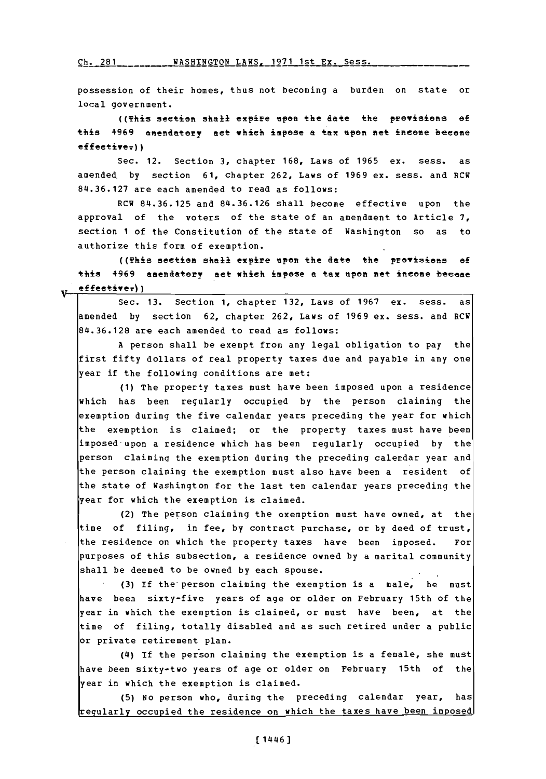Ch- **?R1 WASHTNaTON** LAWS- **1971** 1st **Py-** Sess.

possession of their homes, thus not becoming a burden on state or local government.

((This section shall expie **"pen** the date the pevisions **of** this 4969 amendatory act which impose a tax upon net income become effective<sub>r</sub>))

Sec. 12. Section **3,** chapter **168,** Laws of **1965** ex. sess. as amended. **by** section **61,** chapter **262,** Laws of **1969** ex. sess. and RCW **84.36.127** are each amended to read as follows:

RCW **84.36.125** and **84.36.126** shall become effective upon the approval of the voters of the state of an amendment to Article **7,** section **I** of the Constitution of the state of Washington so as to authorize this form of exemption.

((This section shall expire epee the date the previsiens **of** this 4969 amendatory act which impose a tax upon net income become  $effective_{\tau})$ )

Sec. **13.** Section **1,** chapter **132,** Laws of **1967** ex. sess. as amended **by** section **62,** chapter **262,** Laws of **1969** ex. sess. and RCW **I I84.36.128** are each amended to read as follows:

**A** person shall be exempt from any legal obligation to pay the first fifty dollars of real property taxes due and payable in any one year if the following conditions are met:

**(1)** The property taxes must have been imposed upon a residence which has been regularly occupied **by** the person claiming the exemption during the five calendar years preceding the year for which the exemption is claimed; or the property taxes must have been imposed-upon a residence which has been regularly occupied **by** the person claiming the exemption during the preceding calendar year and the person claiming the exemption must also have been a resident of the state of Washington for the last ten calendar years preceding the year for which the exemption is claimed.

(2) The person claiming the exemption must have owned, at the time of filing, in fee, **by** contract purchase, or **by** deed of trust, the residence on which the property taxes have been imposed. For purposes of this subsection, a residence owned **by** a marital community shall be deemed to be owned **by** each spouse.

**(3) if** the person claiming the exemption is a male, he must have been sixty-five years of age or older on February 15th of the year in which the exemption is claimed, or must have been, at the time of filing, totally disabled and as such retired under a public or private retirement plan.

(4) If the person claiming the exemption is a female, she must have been sixty-two years of age or older on February 15th of the year in which the exemption is claimed.<br>(5) No person who, during the preceding calendar year,

has egularly occupied the residence on which the taxes have been imposed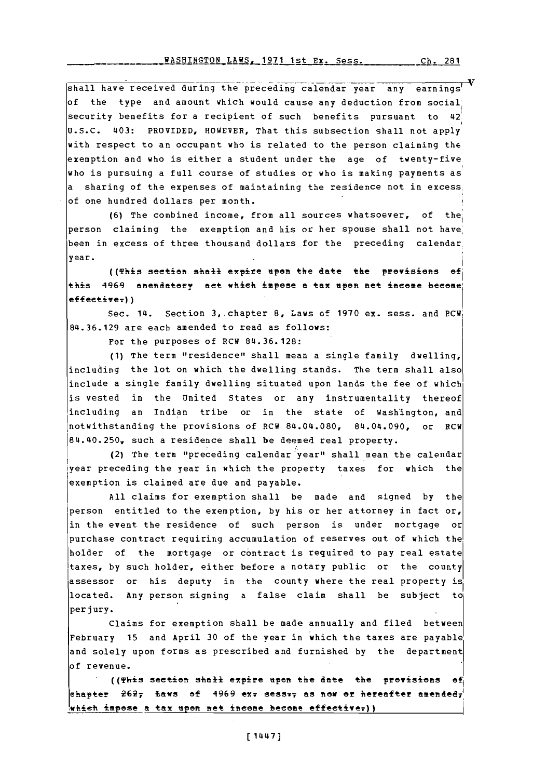WASHINGTON LAWS, 1971 1st Ex. Sess.  $Ch. 281$ 

shall have received during the preceding calendar year any earnings<sup>1</sup> of the type and amount which would cause any deduction from social security benefits for a recipient of such benefits pursuant to 42 U.S.C. 403: PROVIDED, HOWEVER, That this subsection shall not apply with respect to an occupant who is related to the person claiming the exemption and who is either a student under the age of twenty-five who is pursuing a full course of studies or who is making payments as a sharing of the expenses of maintaining the residence not in excess. of one hundred dollars per month.

(6) The combined income, from all sources whatsoever, of the person claiming the exemption and his or her spouse shall not have been in excess of three thousand dollars for the preceding calendar year.

((This section shail expire upon the date the provisions of this 4969 amendatory act which impose a tax upon net income become  $effective$ ;))

Sec. 14. Section 3, chapter 8, Laws of 1970 ex. sess. and RCW 84.36.129 are each amended to read as follows:

For the purposes of RCW 84.36.128:

(1) The term "residence" shall mean a single family dwelling, including the lot on which the dwelling stands. The term shall also include a single family dwelling situated upon lands the fee of which is vested in the United States or any instrumentality thereof including an Indian tribe or in the state of Washington, and notwithstanding the provisions of RCW 84.04.080, 84.04.090, or RCW 84.40.250, such a residence shall be deemed real property.

(2) The term "preceding calendar year" shall mean the calendar year preceding the year in which the property taxes for which the exemption is claimed are due and payable.

All claims for exemption shall be made and signed by the person entitled to the exemption, by his or her attorney in fact or, in the event the residence of such person is under mortgage or purchase contract requiring accumulation of reserves out of which the holder of the mortgage or contract is required to pay real estate taxes, by such holder, either before a notary public or the county assessor or his deputy in the county where the real property is located. Any person signing a false claim shall be subject to perjury.

Claims for exemption shall be made annually and filed between February 15 and April 30 of the year in which the taxes are payable and solely upon forms as prescribed and furnished by the department of revenue.

((This section shall expire upon the date the provisions of chapter  $2627$  Laws of 4969 ex $\pi$  sess $\pi\tau$  as now or hereafter amended $\tau^{\prime}$ which impose a tax upon net income become effective.))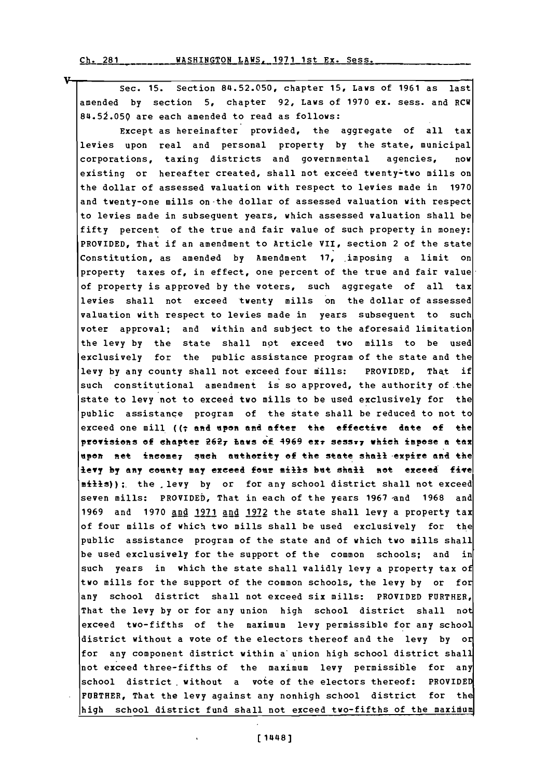v

Sec. **15.** Section **84.52.050,** chapter **15,** Laws of **1961** as last amended **by** section **5,** chapter **92,** Laws of **1970** ex. sess. and RCW **84.5J.059** are each amended to read as follows:

Except as hereinafter provided, the aggregate of all tax levies upon real and personal property **by** the state, municipal corporations, taxing districts and governmental agencies, now existing or hereafter created, shall not exceed twenty-two mills on the dollar of assessed valuation with respect to levies made in **1970** and twenty-one mills on -the dollar of assessed valuation with respect to levies made in subsequent years, which assessed valuation shall be fifty percent of the true and fair value of such property in money: PROVIDED, That if an amendment to Article VII, section 2 of the state Constitution, as amended **by** Amendment **17,** Imposing a limit on property taxes of, in effect, one percent of the true and fair value of property is approved **by** the voters, such aggregate of all tax levies shall not exceed twenty mills on the dollar of assessed valuation with respect to levies made in years subsequent to such voter approval; and within and subject to the aforesaid limitation the levy **by** the state shall not exceed two mills to be used exclusively for the public assistance program of the state and the levy **by** any county shall not exceed four mills: PROVIDED, That if such constitutional amendment is so approved, the authority of the state to levy not to exceed two mills to be used exclusively for the public assistance program of the state shall be reduced to not to exceed one mill ((T and **upon** and after the effective date **of** the provisions of chapter **26 2T Eae** ef. 4969 eX7 SeSST7 which impose **a** tax upon net income<sub>7</sub> such authority of the state shall expire and the levy by any county may exceed four mills but shall not exceed five mills)); the levy by or for any school district shall not exceed seven mills: PROVIDED, That in each of the years 1967 and 1968 and **1969** and **1970** and **1971** and **1972** the state shall levy a property tax of four mills of which two mills shall be used exclusively for the public assistance program of the state and of which two mills shall be used exclusively for the support of the common schools; and in such years in which the state shall validly levy a property tax of two mills for the support of the common schools, the levy **by** or for any school district shall not exceed six mills: PROVIDED FURTHER, That the levy **by** or for any union high school district shall not exceed two-fifths of the maximum levy permissible for any school district without a vote of the electors thereof and the levy **by** or for any component district within a union high school district shall not exceed three-fifths of the maximum levy permissible for any school district without a vote of the electors thereof: PROVIDED FURTHER, That the levy against any nonhigh school district for the high school district fund shall not exceed two-fifths of the maximum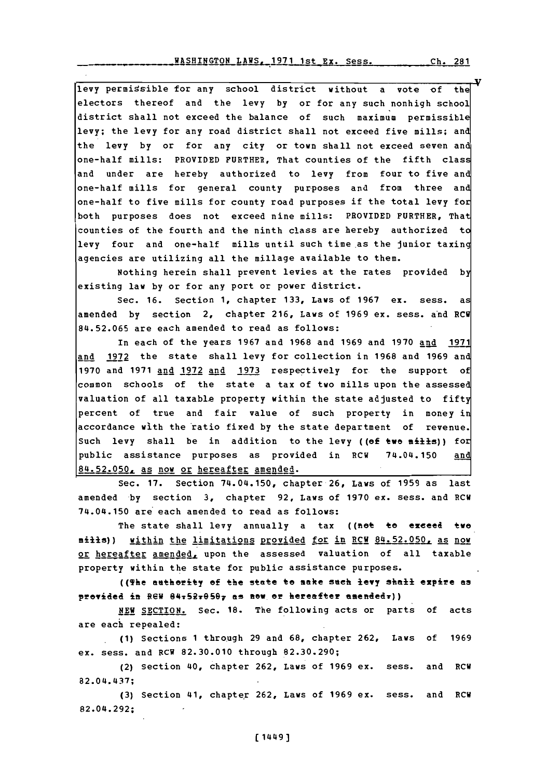levy permissible for any school district without a vote of the electors thereof and the levy **by** or for any such nonhigh school district shall not exceed the balance of such maximum permissible levy; the levy for any road district shall not exceed five mills; and the levy **by** or for any city or town shall not exceed seven and one-half mills: PROVIDED FURTHER, That counties of the fifth class and under are hereby authorized to levy from four to five and one-half mills for general county purposes and from three and one-half to five mills for county road purposes if the total levy for both purposes does not exceed nine mills: PROVIDED FURTHER, That counties of the fourth and the ninth class are hereby authorized to levy four and one-half mills until such time as the junior taxing agencies are utilizing all the millage available to them.

Nothing herein shall prevent levies at the rates provided **by** existing law **by** or for any port or power district.

Sec. **16.** Section **1,** chapter **133,** Laws of **1967** ex. sess. as amended **by** section 2, chapter **216,** Laws of **1969** ex. sess. and RCW **84.52.065** are each amended to read as follows:

In each of the years **1967** and **1968** and **1969** and **1970** and **1971** and **1972** the state shall levy for collection in **1968** and **1969** and **1970** and **1971** and **1972** and **1973** respectively for the support of common schools of the state a tax of two mills upon the assessed valuation of all taxable property within the state adjusted to fifty percent of true and fair value of such property in money in accordance with the ratio fixed **by** the state department of revenue. Such levy shall be in addition to the levy ((of two mills)) for public assistance purposes as provided in RCW 74.04.150 and **8 4 \* 2 \* 0 0 LAs** nov or hereafter amended.

Sec. **17.** Section 74.04.150, chapter **26,** Laws of **1959** as last amended **by** section **3,** chapter **92,** Laws of **1970** ex. sess. and RCW 74.04.150 are each amended to read as follows:

The state shall levy annually a tax ((not to exceed two milis)) within the limitations provided for in RCW 84.52.050, as now or hereafter amended, upon the assessed valuation of all taxable property within the state for public assistance purposes.

((The antherity **of** the state to make seeh levy shall expire **as** provided in REW 84:52:050; as now or hereafter amended:))

**NEW** SECTION. Sec. **18.** The following acts or parts of acts are each repealed:

**.(1)** Sections **1** through **29** and **68,** chapter **262,** Laws of **1969** ex. sess. and **RCW 82.30.010** through **82.30.290;**

(2) Section 40, chapter **262,** Laws of **1969** ex. sess. and RCW 82.04.437;

**(3)** Section 41, chapter **262,** Laws of **1969** ex. sess. and RCW 82.04.292: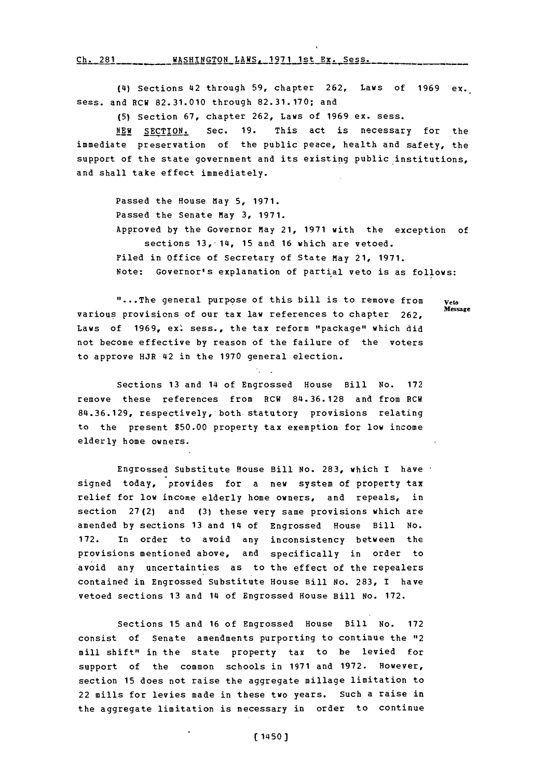Ch. 281 WASHINGTON LAWS, 1971 1st Ex. Sess.

(4) Sections 42 through **59,** chapter **262,** Laws of **1969** ex. sess. and RCW **82.31.010** through **82.31.170;** and

**(5)** Section **67,** chapter **262,** Laws of **1969** ex. sess.

**NEW** SECTION. Sec. **19.** This act is necessary for the immediate preservation of the public peace, health and safety, the support of the state government and its existing public institutions, and shall take effect immediately.

> Passed the House May **5, 1971.** Passed the Senate May **3, 1971.** Approved **by** the Governor may 21, **1971** with the exception of sections 13,-14, **15** and **16** which are vetoed. Filed in office of Secretary of State May 21, **1971.** Note: Governor's explanation of partial veto is as follows:

**"...** The general purpose of this bill is to remove from **Veto** various provisions of our tax law references to chapter 262, Laws of 1969, ex: sess., the tax reform "package" which did not become effective **by** reason of the failure of the voters to approve HJR 42 in the **1970** general election.

Sections **13** and 14 of Engrossed House Bill No. **172** remove these references from RCW **84.36.128** and from RCW **84.36.129,** respectively, both statutory provisions relating to the present **\$50.00** property tax exemption for low income elderly home owners.

Engrossed Substitute House Bill No. **283,** which I have signed today, provides for a new system of property tax relief for low income elderly home owners, and repeals, in section **27 (2)** and **(3)** these very same provisions which are amended **by** sections **13** and 14 of Engrossed House Bill No. **172.** In order to avoid any inconsistency between the provisions mentioned above, and specifically in order to avoid any uncertainties as to the effect of the repealers contained in Engrossed Substitute House Bill No. **283,** I have vetoed sections **13** and 14 of Engrossed House Bill No. **172.**

Sections **15** and **16** of Engrossed House Bill No. **172** consist of Senate amendments purporting to continue the "12 mill shift" in the state property tax to be levied for support of the common schools in **1971** and **1972.** However, section **15** does not raise the aggregate millage limitation to 22 mills for levies made in these two years. Such a raise in the aggregate limitation is necessary in order to continue